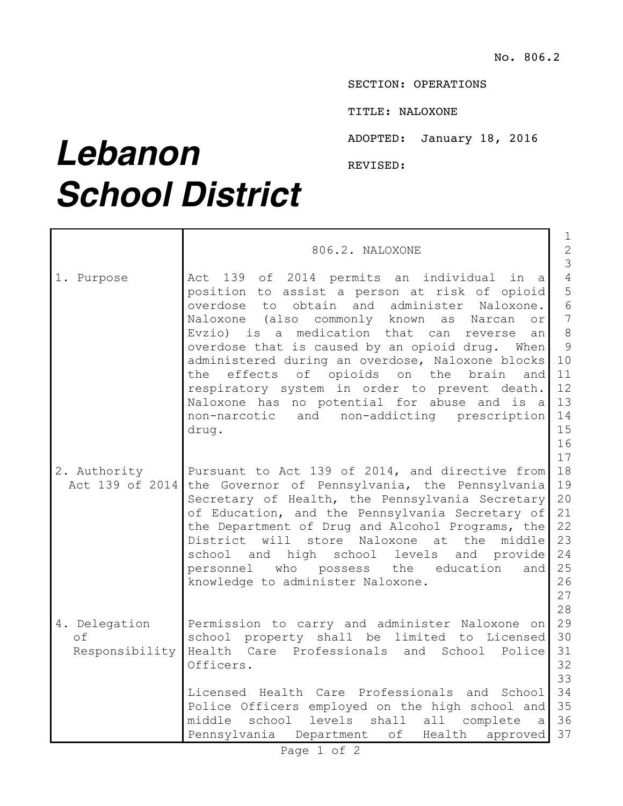SECTION: OPERATIONS

TITLE: NALOXONE

ADOPTED: January 18, 2016

REVISED:

## *Lebanon School District*

 $\blacksquare$ 

|                                       | 806.2. NALOXONE                                                                                                                                                                                                                                                                                                                                                                                                                                                                                                                                                                                                        | 1<br>$\overline{2}$                                                                                                   |
|---------------------------------------|------------------------------------------------------------------------------------------------------------------------------------------------------------------------------------------------------------------------------------------------------------------------------------------------------------------------------------------------------------------------------------------------------------------------------------------------------------------------------------------------------------------------------------------------------------------------------------------------------------------------|-----------------------------------------------------------------------------------------------------------------------|
| 1. Purpose                            | Act 139 of 2014 permits an individual<br>in<br>a<br>position to assist a person at risk of opioid<br>obtain and administer<br>overdose<br>to<br>Naloxone.<br>Naloxone (also<br>commonly<br>known<br>as<br>Narcan<br>or<br>medication that<br>Evzio)<br>is a<br>can<br>reverse<br>an<br>overdose that is caused by an opioid drug.<br>When<br>administered during an overdose, Naloxone blocks<br>of<br>opioids<br>effects<br>on the<br>the<br>brain<br>and<br>respiratory system in order to prevent death.<br>Naloxone has no potential for abuse and is a<br>non-narcotic and non-addicting<br>prescription<br>drug. | $\mathcal{S}$<br>$\overline{4}$<br>5<br>6<br>$\overline{7}$<br>8<br>9<br>10<br>11<br>12<br>13<br>14<br>15<br>16<br>17 |
| 2. Authority<br>Act 139 of 2014       | Pursuant to Act 139 of 2014, and directive from<br>the Governor of Pennsylvania, the Pennsylvania<br>Secretary of Health, the Pennsylvania Secretary<br>of Education, and the Pennsylvania Secretary of<br>the Department of Drug and Alcohol Programs, the<br>District will store<br>Naloxone at<br>the<br>middle<br>high<br>school<br>school<br>and<br>levels<br>and<br>provide<br>possess the<br>personnel<br>who<br>education<br>and<br>knowledge to administer Naloxone.                                                                                                                                          | 18<br>19<br>20<br>21<br>22<br>23<br>24<br>25<br>26<br>27                                                              |
| 4. Delegation<br>of<br>Responsibility | Permission to carry and administer Naloxone on<br>school property shall be limited to Licensed<br>Health Care Professionals and<br>School<br>Police<br>Officers.<br>Licensed Health Care Professionals and School<br>Police Officers employed on the high school and<br>middle<br>school<br>levels<br>shall<br>all<br>complete<br>$\mathsf{a}$<br>Pennsylvania Department of Health<br>approved                                                                                                                                                                                                                        | 28<br>29<br>30<br>31<br>32<br>33<br>34<br>35<br>36<br>37                                                              |